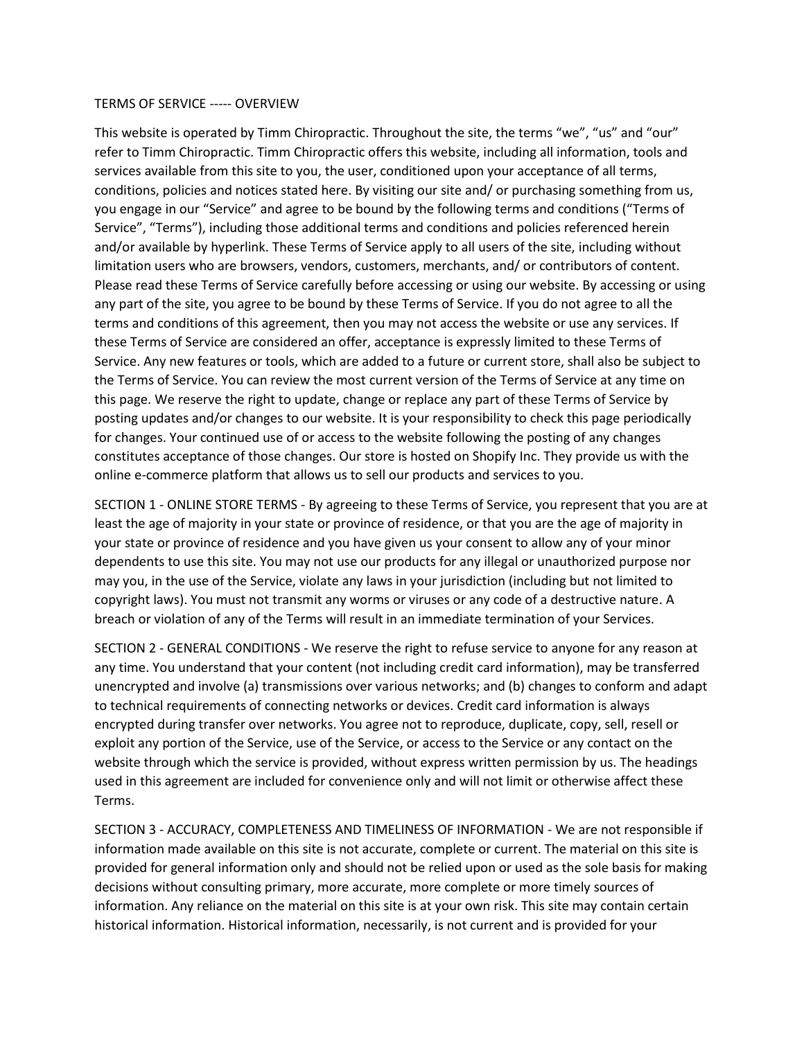## TERMS OF SERVICE ----- OVERVIEW

This website is operated by Timm Chiropractic. Throughout the site, the terms "we", "us" and "our" refer to Timm Chiropractic. Timm Chiropractic offers this website, including all information, tools and services available from this site to you, the user, conditioned upon your acceptance of all terms, conditions, policies and notices stated here. By visiting our site and/ or purchasing something from us, you engage in our "Service" and agree to be bound by the following terms and conditions ("Terms of Service", "Terms"), including those additional terms and conditions and policies referenced herein and/or available by hyperlink. These Terms of Service apply to all users of the site, including without limitation users who are browsers, vendors, customers, merchants, and/ or contributors of content. Please read these Terms of Service carefully before accessing or using our website. By accessing or using any part of the site, you agree to be bound by these Terms of Service. If you do not agree to all the terms and conditions of this agreement, then you may not access the website or use any services. If these Terms of Service are considered an offer, acceptance is expressly limited to these Terms of Service. Any new features or tools, which are added to a future or current store, shall also be subject to the Terms of Service. You can review the most current version of the Terms of Service at any time on this page. We reserve the right to update, change or replace any part of these Terms of Service by posting updates and/or changes to our website. It is your responsibility to check this page periodically for changes. Your continued use of or access to the website following the posting of any changes constitutes acceptance of those changes. Our store is hosted on Shopify Inc. They provide us with the online e-commerce platform that allows us to sell our products and services to you.

SECTION 1 - ONLINE STORE TERMS - By agreeing to these Terms of Service, you represent that you are at least the age of majority in your state or province of residence, or that you are the age of majority in your state or province of residence and you have given us your consent to allow any of your minor dependents to use this site. You may not use our products for any illegal or unauthorized purpose nor may you, in the use of the Service, violate any laws in your jurisdiction (including but not limited to copyright laws). You must not transmit any worms or viruses or any code of a destructive nature. A breach or violation of any of the Terms will result in an immediate termination of your Services.

SECTION 2 - GENERAL CONDITIONS - We reserve the right to refuse service to anyone for any reason at any time. You understand that your content (not including credit card information), may be transferred unencrypted and involve (a) transmissions over various networks; and (b) changes to conform and adapt to technical requirements of connecting networks or devices. Credit card information is always encrypted during transfer over networks. You agree not to reproduce, duplicate, copy, sell, resell or exploit any portion of the Service, use of the Service, or access to the Service or any contact on the website through which the service is provided, without express written permission by us. The headings used in this agreement are included for convenience only and will not limit or otherwise affect these Terms.

SECTION 3 - ACCURACY, COMPLETENESS AND TIMELINESS OF INFORMATION - We are not responsible if information made available on this site is not accurate, complete or current. The material on this site is provided for general information only and should not be relied upon or used as the sole basis for making decisions without consulting primary, more accurate, more complete or more timely sources of information. Any reliance on the material on this site is at your own risk. This site may contain certain historical information. Historical information, necessarily, is not current and is provided for your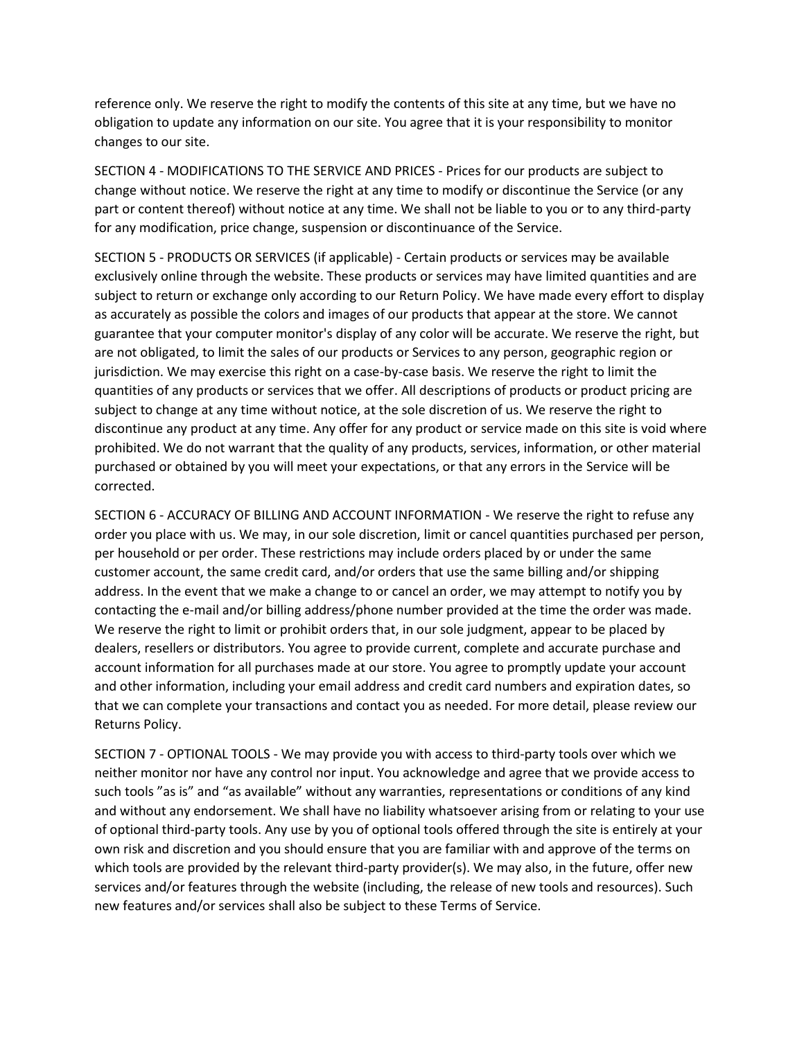reference only. We reserve the right to modify the contents of this site at any time, but we have no obligation to update any information on our site. You agree that it is your responsibility to monitor changes to our site.

SECTION 4 - MODIFICATIONS TO THE SERVICE AND PRICES - Prices for our products are subject to change without notice. We reserve the right at any time to modify or discontinue the Service (or any part or content thereof) without notice at any time. We shall not be liable to you or to any third-party for any modification, price change, suspension or discontinuance of the Service.

SECTION 5 - PRODUCTS OR SERVICES (if applicable) - Certain products or services may be available exclusively online through the website. These products or services may have limited quantities and are subject to return or exchange only according to our Return Policy. We have made every effort to display as accurately as possible the colors and images of our products that appear at the store. We cannot guarantee that your computer monitor's display of any color will be accurate. We reserve the right, but are not obligated, to limit the sales of our products or Services to any person, geographic region or jurisdiction. We may exercise this right on a case-by-case basis. We reserve the right to limit the quantities of any products or services that we offer. All descriptions of products or product pricing are subject to change at any time without notice, at the sole discretion of us. We reserve the right to discontinue any product at any time. Any offer for any product or service made on this site is void where prohibited. We do not warrant that the quality of any products, services, information, or other material purchased or obtained by you will meet your expectations, or that any errors in the Service will be corrected.

SECTION 6 - ACCURACY OF BILLING AND ACCOUNT INFORMATION - We reserve the right to refuse any order you place with us. We may, in our sole discretion, limit or cancel quantities purchased per person, per household or per order. These restrictions may include orders placed by or under the same customer account, the same credit card, and/or orders that use the same billing and/or shipping address. In the event that we make a change to or cancel an order, we may attempt to notify you by contacting the e-mail and/or billing address/phone number provided at the time the order was made. We reserve the right to limit or prohibit orders that, in our sole judgment, appear to be placed by dealers, resellers or distributors. You agree to provide current, complete and accurate purchase and account information for all purchases made at our store. You agree to promptly update your account and other information, including your email address and credit card numbers and expiration dates, so that we can complete your transactions and contact you as needed. For more detail, please review our Returns Policy.

SECTION 7 - OPTIONAL TOOLS - We may provide you with access to third-party tools over which we neither monitor nor have any control nor input. You acknowledge and agree that we provide access to such tools "as is" and "as available" without any warranties, representations or conditions of any kind and without any endorsement. We shall have no liability whatsoever arising from or relating to your use of optional third-party tools. Any use by you of optional tools offered through the site is entirely at your own risk and discretion and you should ensure that you are familiar with and approve of the terms on which tools are provided by the relevant third-party provider(s). We may also, in the future, offer new services and/or features through the website (including, the release of new tools and resources). Such new features and/or services shall also be subject to these Terms of Service.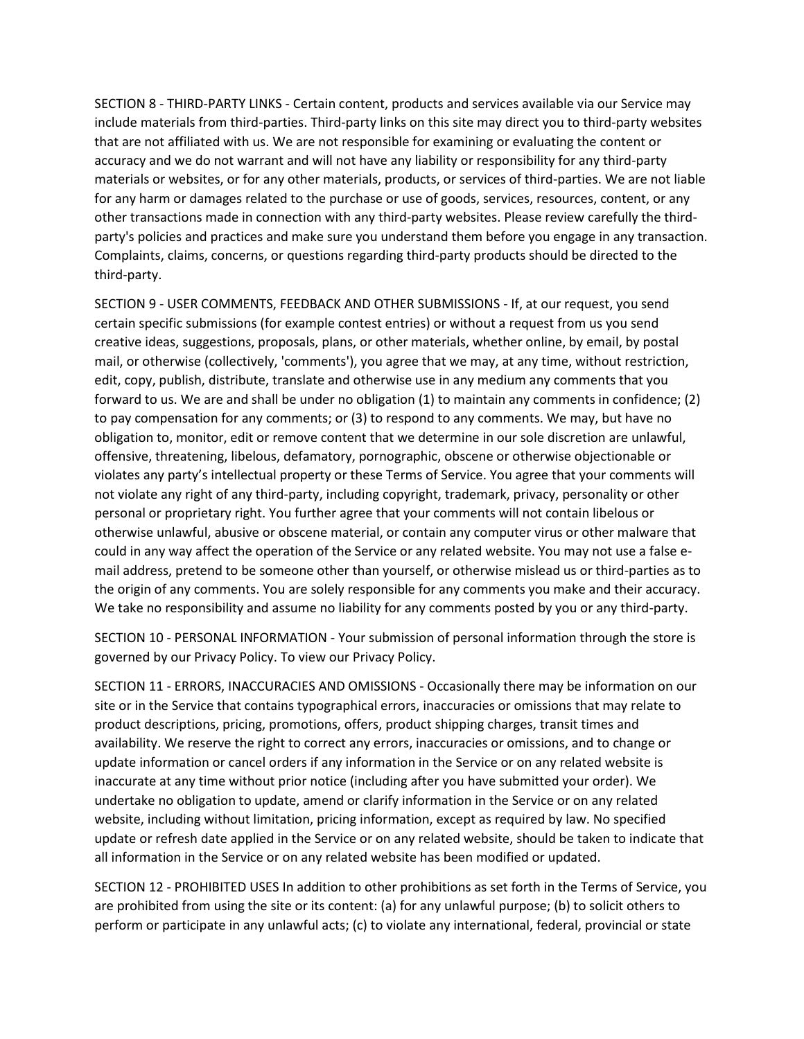SECTION 8 - THIRD-PARTY LINKS - Certain content, products and services available via our Service may include materials from third-parties. Third-party links on this site may direct you to third-party websites that are not affiliated with us. We are not responsible for examining or evaluating the content or accuracy and we do not warrant and will not have any liability or responsibility for any third-party materials or websites, or for any other materials, products, or services of third-parties. We are not liable for any harm or damages related to the purchase or use of goods, services, resources, content, or any other transactions made in connection with any third-party websites. Please review carefully the thirdparty's policies and practices and make sure you understand them before you engage in any transaction. Complaints, claims, concerns, or questions regarding third-party products should be directed to the third-party.

SECTION 9 - USER COMMENTS, FEEDBACK AND OTHER SUBMISSIONS - If, at our request, you send certain specific submissions (for example contest entries) or without a request from us you send creative ideas, suggestions, proposals, plans, or other materials, whether online, by email, by postal mail, or otherwise (collectively, 'comments'), you agree that we may, at any time, without restriction, edit, copy, publish, distribute, translate and otherwise use in any medium any comments that you forward to us. We are and shall be under no obligation (1) to maintain any comments in confidence; (2) to pay compensation for any comments; or (3) to respond to any comments. We may, but have no obligation to, monitor, edit or remove content that we determine in our sole discretion are unlawful, offensive, threatening, libelous, defamatory, pornographic, obscene or otherwise objectionable or violates any party's intellectual property or these Terms of Service. You agree that your comments will not violate any right of any third-party, including copyright, trademark, privacy, personality or other personal or proprietary right. You further agree that your comments will not contain libelous or otherwise unlawful, abusive or obscene material, or contain any computer virus or other malware that could in any way affect the operation of the Service or any related website. You may not use a false email address, pretend to be someone other than yourself, or otherwise mislead us or third-parties as to the origin of any comments. You are solely responsible for any comments you make and their accuracy. We take no responsibility and assume no liability for any comments posted by you or any third-party.

SECTION 10 - PERSONAL INFORMATION - Your submission of personal information through the store is governed by our Privacy Policy. To view our Privacy Policy.

SECTION 11 - ERRORS, INACCURACIES AND OMISSIONS - Occasionally there may be information on our site or in the Service that contains typographical errors, inaccuracies or omissions that may relate to product descriptions, pricing, promotions, offers, product shipping charges, transit times and availability. We reserve the right to correct any errors, inaccuracies or omissions, and to change or update information or cancel orders if any information in the Service or on any related website is inaccurate at any time without prior notice (including after you have submitted your order). We undertake no obligation to update, amend or clarify information in the Service or on any related website, including without limitation, pricing information, except as required by law. No specified update or refresh date applied in the Service or on any related website, should be taken to indicate that all information in the Service or on any related website has been modified or updated.

SECTION 12 - PROHIBITED USES In addition to other prohibitions as set forth in the Terms of Service, you are prohibited from using the site or its content: (a) for any unlawful purpose; (b) to solicit others to perform or participate in any unlawful acts; (c) to violate any international, federal, provincial or state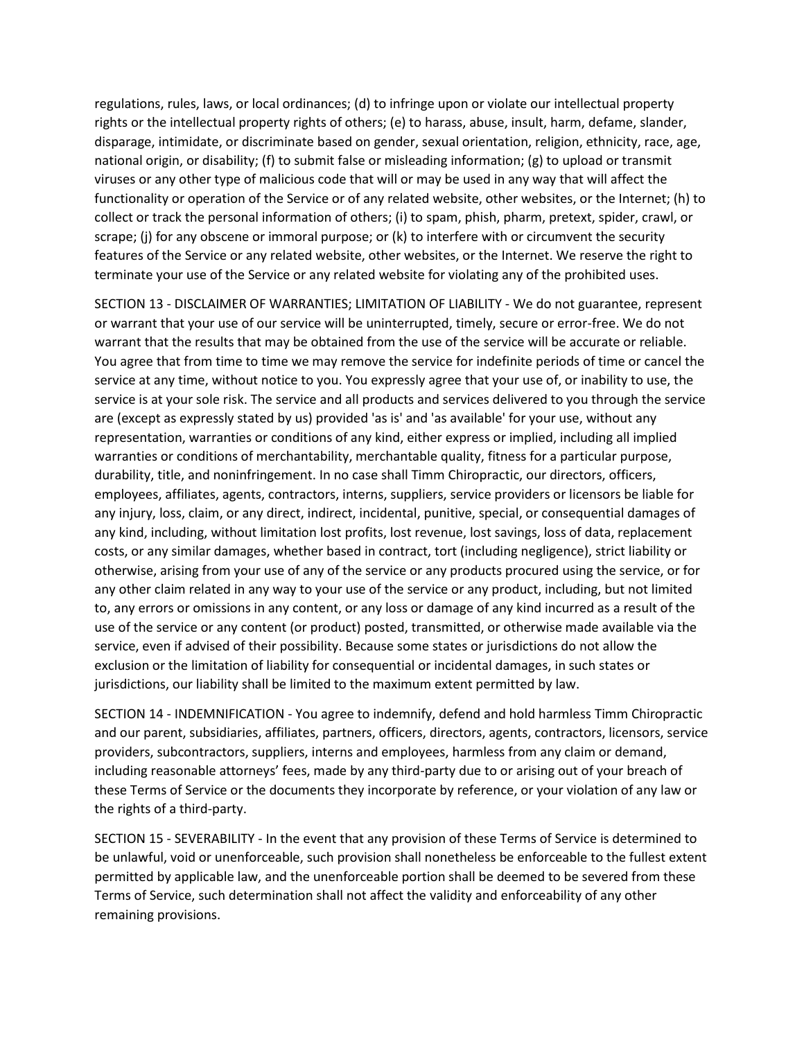regulations, rules, laws, or local ordinances; (d) to infringe upon or violate our intellectual property rights or the intellectual property rights of others; (e) to harass, abuse, insult, harm, defame, slander, disparage, intimidate, or discriminate based on gender, sexual orientation, religion, ethnicity, race, age, national origin, or disability; (f) to submit false or misleading information; (g) to upload or transmit viruses or any other type of malicious code that will or may be used in any way that will affect the functionality or operation of the Service or of any related website, other websites, or the Internet; (h) to collect or track the personal information of others; (i) to spam, phish, pharm, pretext, spider, crawl, or scrape; (j) for any obscene or immoral purpose; or (k) to interfere with or circumvent the security features of the Service or any related website, other websites, or the Internet. We reserve the right to terminate your use of the Service or any related website for violating any of the prohibited uses.

SECTION 13 - DISCLAIMER OF WARRANTIES; LIMITATION OF LIABILITY - We do not guarantee, represent or warrant that your use of our service will be uninterrupted, timely, secure or error-free. We do not warrant that the results that may be obtained from the use of the service will be accurate or reliable. You agree that from time to time we may remove the service for indefinite periods of time or cancel the service at any time, without notice to you. You expressly agree that your use of, or inability to use, the service is at your sole risk. The service and all products and services delivered to you through the service are (except as expressly stated by us) provided 'as is' and 'as available' for your use, without any representation, warranties or conditions of any kind, either express or implied, including all implied warranties or conditions of merchantability, merchantable quality, fitness for a particular purpose, durability, title, and noninfringement. In no case shall Timm Chiropractic, our directors, officers, employees, affiliates, agents, contractors, interns, suppliers, service providers or licensors be liable for any injury, loss, claim, or any direct, indirect, incidental, punitive, special, or consequential damages of any kind, including, without limitation lost profits, lost revenue, lost savings, loss of data, replacement costs, or any similar damages, whether based in contract, tort (including negligence), strict liability or otherwise, arising from your use of any of the service or any products procured using the service, or for any other claim related in any way to your use of the service or any product, including, but not limited to, any errors or omissions in any content, or any loss or damage of any kind incurred as a result of the use of the service or any content (or product) posted, transmitted, or otherwise made available via the service, even if advised of their possibility. Because some states or jurisdictions do not allow the exclusion or the limitation of liability for consequential or incidental damages, in such states or jurisdictions, our liability shall be limited to the maximum extent permitted by law.

SECTION 14 - INDEMNIFICATION - You agree to indemnify, defend and hold harmless Timm Chiropractic and our parent, subsidiaries, affiliates, partners, officers, directors, agents, contractors, licensors, service providers, subcontractors, suppliers, interns and employees, harmless from any claim or demand, including reasonable attorneys' fees, made by any third-party due to or arising out of your breach of these Terms of Service or the documents they incorporate by reference, or your violation of any law or the rights of a third-party.

SECTION 15 - SEVERABILITY - In the event that any provision of these Terms of Service is determined to be unlawful, void or unenforceable, such provision shall nonetheless be enforceable to the fullest extent permitted by applicable law, and the unenforceable portion shall be deemed to be severed from these Terms of Service, such determination shall not affect the validity and enforceability of any other remaining provisions.